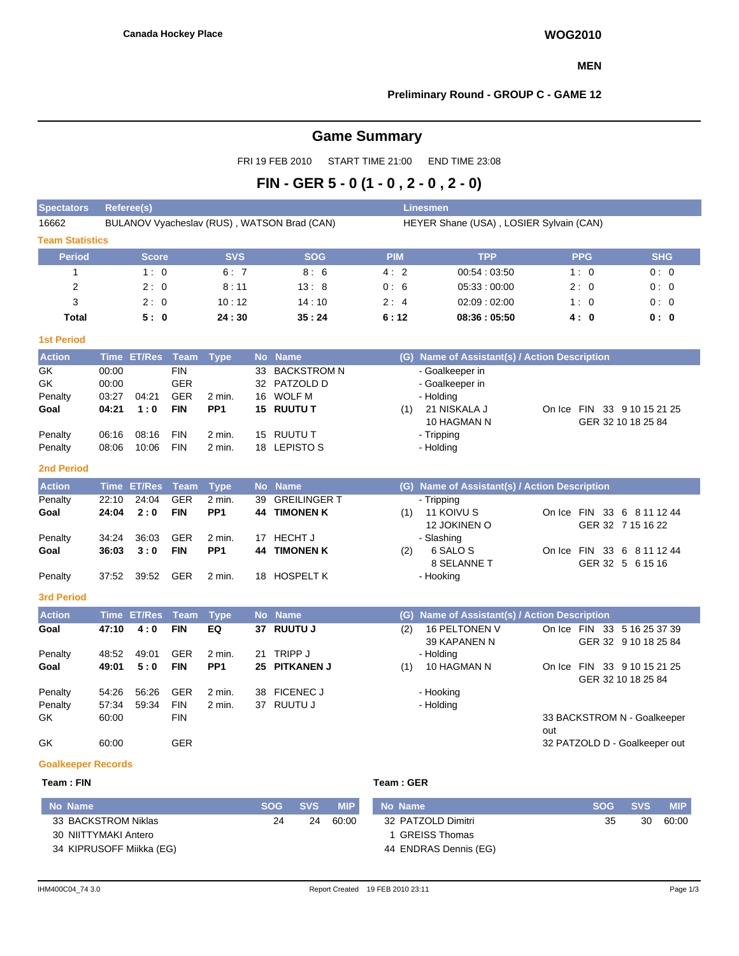#### **MEN**

## **Preliminary Round - GROUP C - GAME 12**

# **Game Summary**

FRI 19 FEB 2010 START TIME 21:00 END TIME 23:08

# **FIN - GER 5 - 0 (1 - 0 , 2 - 0 , 2 - 0)**

| <b>Spectators</b>                                                             | <b>Referee(s)</b>                                  |                                |                                                                                  |                                               |                             |                                                                                                        |                | <b>Linesmen</b>                                                                                           |                                                                     |                                            |
|-------------------------------------------------------------------------------|----------------------------------------------------|--------------------------------|----------------------------------------------------------------------------------|-----------------------------------------------|-----------------------------|--------------------------------------------------------------------------------------------------------|----------------|-----------------------------------------------------------------------------------------------------------|---------------------------------------------------------------------|--------------------------------------------|
| 16662                                                                         |                                                    |                                |                                                                                  |                                               |                             | BULANOV Vyacheslav (RUS), WATSON Brad (CAN)                                                            |                | HEYER Shane (USA), LOSIER Sylvain (CAN)                                                                   |                                                                     |                                            |
| <b>Team Statistics</b>                                                        |                                                    |                                |                                                                                  |                                               |                             |                                                                                                        |                |                                                                                                           |                                                                     |                                            |
| <b>Period</b>                                                                 |                                                    | <b>Score</b>                   |                                                                                  | <b>SVS</b>                                    |                             | <b>SOG</b>                                                                                             | <b>PIM</b>     | <b>TPP</b>                                                                                                | <b>PPG</b>                                                          | <b>SHG</b>                                 |
| $\mathbf{1}$                                                                  |                                                    | 1:0                            |                                                                                  | 6:7                                           |                             | 8:6                                                                                                    | 4:2            | 00:54:03:50                                                                                               | 1:0                                                                 | 0:0                                        |
| $\overline{2}$                                                                |                                                    | 2:0                            |                                                                                  | 8:11                                          |                             | 13:8                                                                                                   | 0:6            | 05:33:00:00                                                                                               | 2:0                                                                 | 0:0                                        |
| 3                                                                             |                                                    | 2:0                            |                                                                                  | 10:12                                         |                             | 14:10                                                                                                  | 2:4            | 02:09:02:00                                                                                               | 1:0                                                                 | 0:0                                        |
| <b>Total</b>                                                                  |                                                    | 5:0                            |                                                                                  | 24:30                                         |                             | 35:24                                                                                                  | 6:12           | 08:36:05:50                                                                                               | 4:0                                                                 | 0: 0                                       |
| <b>1st Period</b>                                                             |                                                    |                                |                                                                                  |                                               |                             |                                                                                                        |                |                                                                                                           |                                                                     |                                            |
| <b>Action</b>                                                                 |                                                    | Time ET/Res Team               |                                                                                  | <b>Type</b>                                   |                             | No Name                                                                                                |                | (G) Name of Assistant(s) / Action Description                                                             |                                                                     |                                            |
| <b>GK</b><br>GK<br>Penalty<br>Goal<br>Penalty<br>Penalty<br><b>2nd Period</b> | 00:00<br>00:00<br>03:27<br>04:21<br>06:16<br>08:06 | 04:21<br>1:0<br>08:16<br>10:06 | <b>FIN</b><br><b>GER</b><br><b>GER</b><br><b>FIN</b><br><b>FIN</b><br><b>FIN</b> | 2 min.<br>PP <sub>1</sub><br>2 min.<br>2 min. | 33<br>16                    | <b>BACKSTROM N</b><br>32 PATZOLD D<br><b>WOLF M</b><br><b>15 RUUTU T</b><br>15 RUUTU T<br>18 LEPISTO S | (1)            | - Goalkeeper in<br>- Goalkeeper in<br>- Holding<br>21 NISKALA J<br>10 HAGMAN N<br>- Tripping<br>- Holding | On Ice FIN 33 9 10 15 21 25                                         | GER 32 10 18 25 84                         |
| <b>Action</b>                                                                 | <b>Time</b>                                        | <b>ET/Res</b>                  | <b>Team</b>                                                                      | <b>Type</b>                                   | <b>No</b>                   | <b>Name</b>                                                                                            |                | (G) Name of Assistant(s) / Action Description                                                             |                                                                     |                                            |
| Penalty<br>Goal<br>Penalty                                                    | 22:10<br>24:04<br>34:24                            | 24:04<br>2:0<br>36:03          | <b>GER</b><br><b>FIN</b><br><b>GER</b>                                           | 2 min.<br>PP <sub>1</sub><br>2 min.           | 39<br>44<br>17 <sup>2</sup> | <b>GREILINGER T</b><br><b>TIMONEN K</b><br><b>HECHT J</b>                                              | (1)            | - Tripping<br>11 KOIVU S<br>12 JOKINEN O<br>- Slashing                                                    | On Ice FIN 33 6 8 11 12 44                                          | GER 32 7 15 16 22                          |
| Goal<br>Penalty                                                               | 36:03<br>37:52                                     | 3:0<br>39:52                   | <b>FIN</b><br><b>GER</b>                                                         | PP <sub>1</sub><br>2 min.                     | 44<br>18                    | <b>TIMONEN K</b><br><b>HOSPELT K</b>                                                                   | (2)            | 6 SALO S<br>8 SELANNE T<br>- Hooking                                                                      | On Ice FIN 33 6 8 11 12 44                                          | GER 32 5 6 15 16                           |
| <b>3rd Period</b>                                                             |                                                    |                                |                                                                                  |                                               |                             |                                                                                                        |                |                                                                                                           |                                                                     |                                            |
| <b>Action</b>                                                                 | <b>Time</b>                                        | <b>ET/Res</b>                  | <b>Team</b>                                                                      | <b>Type</b>                                   |                             | No Name                                                                                                |                | (G) Name of Assistant(s) / Action Description                                                             |                                                                     |                                            |
| Goal<br>Penalty<br>Goal                                                       | 47:10<br>48:52<br>49:01                            | 4:0<br>49:01<br>5:0            | <b>FIN</b><br><b>GER</b><br><b>FIN</b>                                           | EQ<br>2 min.<br>PP <sub>1</sub>               | 37<br>21<br>25              | <b>RUUTU J</b><br>TRIPP J<br><b>PITKANEN J</b>                                                         | (2)<br>(1)     | 16 PELTONEN V<br>39 KAPANEN N<br>- Holding<br>10 HAGMAN N                                                 | On Ice FIN 33 5 16 25 37 39<br>On Ice FIN 33 9 10 15 21 25          | GER 32 9 10 18 25 84<br>GER 32 10 18 25 84 |
| Penalty<br>Penalty<br>GK<br>GK                                                | 54:26<br>57:34<br>60:00<br>60:00                   | 56:26<br>59:34                 | <b>GER</b><br><b>FIN</b><br><b>FIN</b><br><b>GER</b>                             | 2 min.<br>2 min.                              | 38                          | <b>FICENEC J</b><br>37 RUUTU J                                                                         |                | - Hooking<br>- Holding                                                                                    | 33 BACKSTROM N - Goalkeeper<br>out<br>32 PATZOLD D - Goalkeeper out |                                            |
| <b>Goalkeeper Records</b>                                                     |                                                    |                                |                                                                                  |                                               |                             |                                                                                                        |                |                                                                                                           |                                                                     |                                            |
| Team: FIN                                                                     |                                                    |                                |                                                                                  |                                               |                             |                                                                                                        | Team: GER      |                                                                                                           |                                                                     |                                            |
| <b>No Name</b>                                                                |                                                    |                                |                                                                                  |                                               |                             | <b>SOG</b><br><b>SVS</b><br><b>MIP</b>                                                                 | <b>No Name</b> |                                                                                                           | <b>SOG</b>                                                          | <b>SVS</b><br><b>MIP</b>                   |
|                                                                               |                                                    |                                |                                                                                  |                                               |                             |                                                                                                        |                |                                                                                                           |                                                                     |                                            |

| No Name                  | <b>SOG</b> | <b>SVS</b> | <b>MIP</b> | No Name               | <b>SOG</b> | <b>SVS</b> | <b>MIP</b> |
|--------------------------|------------|------------|------------|-----------------------|------------|------------|------------|
| 33 BACKSTROM Niklas      | 24         | 24         | 60:00      | 32 PATZOLD Dimitri    | 35         | 30         | 60:00      |
| 30 NIITTYMAKI Antero     |            |            |            | 1 GREISS Thomas       |            |            |            |
| 34 KIPRUSOFF Miikka (EG) |            |            |            | 44 ENDRAS Dennis (EG) |            |            |            |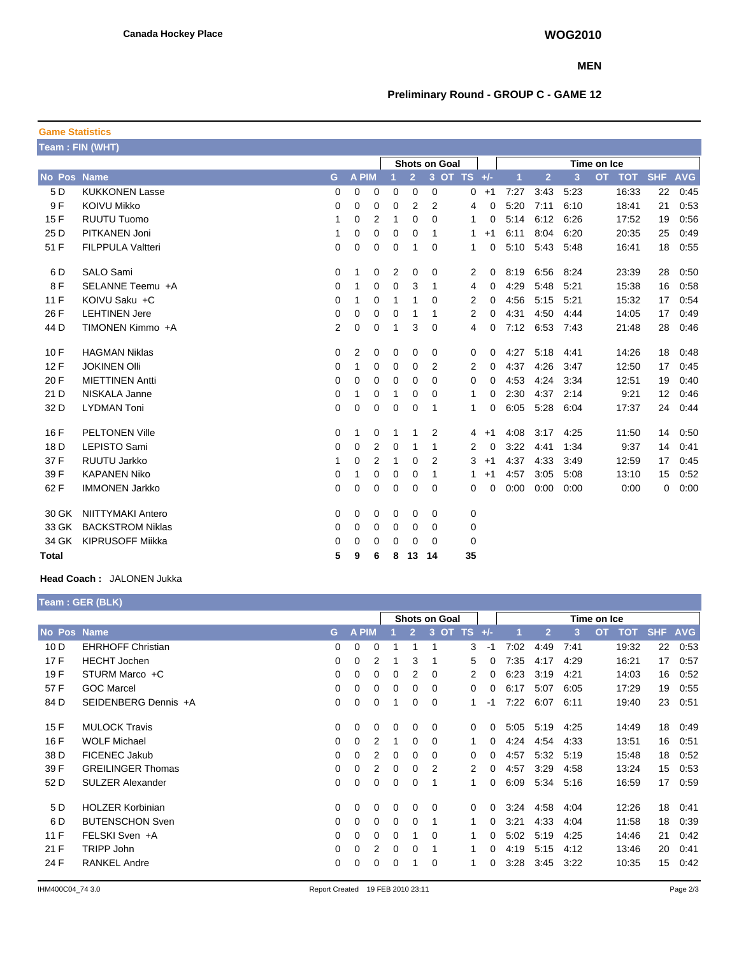#### **MEN**

# **Preliminary Round - GROUP C - GAME 12**

| <b>Game Statistics</b> |                          |             |              |                |   |                |             |                      |               |                |                |      |             |            |            |            |
|------------------------|--------------------------|-------------|--------------|----------------|---|----------------|-------------|----------------------|---------------|----------------|----------------|------|-------------|------------|------------|------------|
| Team: FIN (WHT)        |                          |             |              |                |   |                |             |                      |               |                |                |      |             |            |            |            |
|                        |                          |             |              |                |   |                |             | <b>Shots on Goal</b> |               |                |                |      | Time on Ice |            |            |            |
| No Pos Name            |                          | G           | A PIM        |                |   | $\overline{2}$ |             | 3 OT TS +/-          |               | $\overline{1}$ | $\overline{2}$ | 3    | <b>OT</b>   | <b>TOT</b> | <b>SHF</b> | <b>AVG</b> |
| 5 D                    | <b>KUKKONEN Lasse</b>    | 0           | 0            | 0              | 0 | 0              | 0           |                      | $0 + 1$       | 7:27           | 3:43           | 5:23 |             | 16:33      | 22         | 0:45       |
| 9F                     | <b>KOIVU Mikko</b>       | 0           | 0            | 0              | 0 | 2              | 2           |                      | 0<br>4        | 5:20           | 7:11           | 6:10 |             | 18:41      | 21         | 0:53       |
| 15F                    | <b>RUUTU Tuomo</b>       | 1           | 0            | $\overline{2}$ | 1 | 0              | 0           |                      | 1<br>0        | 5:14           | 6:12           | 6:26 |             | 17:52      | 19         | 0:56       |
| 25 D                   | PITKANEN Joni            | 1           | 0            | $\mathbf 0$    | 0 | 0              | 1           |                      | 1<br>$+1$     | 6:11           | 8:04           | 6:20 |             | 20:35      | 25         | 0:49       |
| 51 F                   | <b>FILPPULA Valtteri</b> | 0           | 0            | 0              | 0 | 1              | 0           |                      | 1<br>0        | 5:10           | 5:43           | 5:48 |             | 16:41      | 18         | 0:55       |
| 6 D                    | <b>SALO Sami</b>         | 0           | 1            | 0              | 2 | 0              | 0           |                      | 0<br>2        | 8:19           | 6:56           | 8:24 |             | 23:39      | 28         | 0:50       |
| 8F                     | SELANNE Teemu +A         | 0           | $\mathbf{1}$ | 0              | 0 | 3              | 1           |                      | $\Omega$<br>4 | 4:29           | 5:48           | 5:21 |             | 15:38      | 16         | 0:58       |
| 11 F                   | KOIVU Saku +C            | 0           | 1            | 0              | 1 | 1              | 0           |                      | 2<br>0        | 4:56           | 5:15           | 5:21 |             | 15:32      | 17         | 0:54       |
| 26 F                   | <b>LEHTINEN Jere</b>     | 0           | 0            | 0              | 0 | 1              | 1           |                      | 2<br>0        | 4:31           | 4:50           | 4:44 |             | 14:05      | 17         | 0:49       |
| 44 D                   | TIMONEN Kimmo +A         | 2           | $\mathbf 0$  | 0              | 1 | 3              | 0           |                      | 0<br>4        | 7:12           | 6:53           | 7:43 |             | 21:48      | 28         | 0:46       |
| 10F                    | <b>HAGMAN Niklas</b>     | 0           | 2            | 0              | 0 | 0              | 0           |                      | 0<br>0        | 4:27           | 5:18           | 4:41 |             | 14:26      | 18         | 0:48       |
| 12F                    | <b>JOKINEN OIII</b>      | 0           | 1            | 0              | 0 | 0              | 2           |                      | 2<br>0        | 4:37           | 4:26           | 3:47 |             | 12:50      | 17         | 0:45       |
| 20 F                   | <b>MIETTINEN Antti</b>   | 0           | $\mathbf 0$  | 0              | 0 | $\Omega$       | $\Omega$    |                      | $\Omega$<br>0 | 4:53           | 4:24           | 3:34 |             | 12:51      | 19         | 0:40       |
| 21 D                   | NISKALA Janne            | 0           | 1            | 0              | 1 | 0              | 0           |                      | 1<br>0        | 2:30           | 4:37           | 2:14 |             | 9:21       | 12         | 0:46       |
| 32 D                   | <b>LYDMAN Toni</b>       | 0           | 0            | 0              | 0 | 0              | $\mathbf 1$ |                      | 0<br>1        | 6:05           | 5:28           | 6:04 |             | 17:37      | 24         | 0.44       |
| 16 F                   | <b>PELTONEN Ville</b>    | 0           | 1            | 0              | 1 | 1              | 2           |                      | $+1$<br>4     | 4:08           | 3:17           | 4:25 |             | 11:50      | 14         | 0:50       |
| 18 D                   | <b>LEPISTO Sami</b>      | 0           | 0            | 2              | 0 | 1              | 1           |                      | 2<br>0        | 3:22           | 4:41           | 1:34 |             | 9:37       | 14         | 0.41       |
| 37 F                   | <b>RUUTU Jarkko</b>      |             | $\mathbf 0$  | $\overline{2}$ | 1 | $\mathbf 0$    | 2           |                      | 3<br>$+1$     | 4:37           | 4:33           | 3:49 |             | 12:59      | 17         | 0:45       |
| 39 F                   | <b>KAPANEN Niko</b>      | 0           | 1            | 0              | 0 | 0              | 1           |                      | $+1$<br>1     | 4:57           | 3:05           | 5:08 |             | 13:10      | 15         | 0:52       |
| 62 F                   | <b>IMMONEN Jarkko</b>    | $\mathbf 0$ | 0            | 0              | 0 | 0              | 0           |                      | 0<br>0        | 0:00           | 0:00           | 0:00 |             | 0:00       | 0          | 0:00       |
| 30 GK                  | <b>NIITTYMAKI Antero</b> | 0           | 0            | 0              | 0 | 0              | 0           | 0                    |               |                |                |      |             |            |            |            |
| 33 GK                  | <b>BACKSTROM Niklas</b>  | 0           | $\mathbf 0$  | 0              | 0 | 0              | 0           | 0                    |               |                |                |      |             |            |            |            |
| 34 GK                  | <b>KIPRUSOFF Mijkka</b>  | 0           | 0            | 0              | 0 | 0              | 0           | 0                    |               |                |                |      |             |            |            |            |
| <b>Total</b>           |                          | 5           | 9            | 6              | 8 | 13             | -14         | 35                   |               |                |                |      |             |            |            |            |

### **Head Coach :** JALONEN Jukka

|                    | Team: GER (BLK)          |          |                 |   |                      |                |          |                             |          |      |                |             |                         |            |            |
|--------------------|--------------------------|----------|-----------------|---|----------------------|----------------|----------|-----------------------------|----------|------|----------------|-------------|-------------------------|------------|------------|
|                    |                          |          |                 |   | <b>Shots on Goal</b> |                |          |                             |          |      |                | Time on Ice |                         |            |            |
| <b>No Pos Name</b> |                          | G        | <b>PIM</b><br>A |   |                      | $\overline{2}$ | 3        | $\overline{O}$<br><b>TS</b> | $+/-$    |      | $\overline{2}$ | 3           | <b>OT</b><br><b>TOT</b> | <b>SHF</b> | <b>AVG</b> |
| 10 <sub>D</sub>    | <b>EHRHOFF Christian</b> | $\Omega$ | 0               | 0 |                      | 1              |          | 3                           | -1       | 7:02 | 4:49           | 7:41        | 19:32                   | 22         | 0:53       |
| 17F                | <b>HECHT</b> Jochen      | 0        | 0               | 2 |                      | 3              |          | 5                           | $\Omega$ | 7:35 | 4:17           | 4:29        | 16:21                   | 17         | 0:57       |
| 19F                | STURM Marco +C           | 0        | 0               | 0 | 0                    | 2              | $\Omega$ | 2                           | 0        | 6:23 | 3:19           | 4:21        | 14:03                   | 16         | 0.52       |
| 57 F               | <b>GOC Marcel</b>        | 0        | 0               | 0 |                      | 0              | $\Omega$ | 0                           | 0        | 6:17 | 5:07           | 6:05        | 17:29                   | 19         | 0:55       |
| 84 D               | SEIDENBERG Dennis +A     | $\Omega$ | 0               | 0 |                      | 0              | 0        | 1.                          | -1       | 7:22 | 6:07           | 6:11        | 19:40                   | 23         | 0:51       |
| 15F                | <b>MULOCK Travis</b>     | 0        | 0               | 0 | 0                    | 0              | 0        | $\Omega$                    | 0        | 5:05 | 5:19           | 4:25        | 14:49                   | 18         | 0:49       |
| 16 F               | <b>WOLF Michael</b>      | $\Omega$ | 0               | 2 |                      | 0              | 0        | 1                           | $\Omega$ | 4:24 | 4:54           | 4.33        | 13:51                   | 16         | 0:51       |
| 38 D               | <b>FICENEC Jakub</b>     | $\Omega$ | 0               | 2 | 0                    | 0              | 0        | $\Omega$                    | $\Omega$ | 4:57 | 5:32           | 5:19        | 15:48                   | 18         | 0:52       |
| 39 F               | <b>GREILINGER Thomas</b> | 0        | 0               | 2 | $\Omega$             | 0              | 2        | 2                           | $\Omega$ | 4:57 | 3:29           | 4:58        | 13:24                   | 15         | 0:53       |
| 52 D               | <b>SULZER Alexander</b>  | 0        | 0               | 0 | $\Omega$             | 0              | 1        | 1                           | 0        | 6:09 | 5:34           | 5:16        | 16:59                   | 17         | 0:59       |
| 5 D                | <b>HOLZER Korbinian</b>  | 0        | 0               | 0 | 0                    | 0              | $\Omega$ | 0                           | $\Omega$ | 3:24 | 4:58           | 4:04        | 12:26                   | 18         | 0:41       |
| 6 D                | <b>BUTENSCHON Sven</b>   | $\Omega$ | 0               | 0 | $\Omega$             | 0              |          | 1                           | $\Omega$ | 3:21 | 4:33           | 4:04        | 11:58                   | 18         | 0:39       |
| 11F                | FELSKI Sven +A           | $\Omega$ | 0               | 0 | $\Omega$             |                | $\Omega$ |                             | 0        | 5:02 | 5:19           | 4:25        | 14:46                   | 21         | 0:42       |
| 21 F               | TRIPP John               | 0        | 0               | 2 | 0                    | 0              | -1       | 1                           | 0        | 4:19 | 5:15           | 4:12        | 13:46                   | 20         | 0:41       |
| 24 F               | <b>RANKEL Andre</b>      | 0        | 0               | 0 | 0                    |                | 0        |                             | 0        | 3:28 | 3:45           | 3:22        | 10:35                   | 15         | 0:42       |